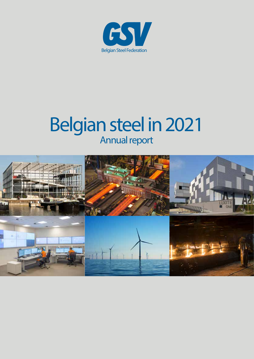

# Belgian steel in 2021 Annual report

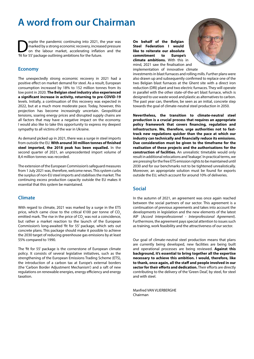## **A word from our Chairman**

Superite the pandemic continuing into 2021, the year was<br>
on the labour market, accelerating inflation and the<br>
on the labour market, accelerating inflation and the<br>
on the future marked by a strong economic recovery, increased pressure 'fit for 55' package outlining ambitions for the future.

### **Economy**

The unexpectedly strong economic recovery in 2021 had a positive effect on market demand for steel. As a result, European consumption increased by 18% to 152 million tonnes from its low point in 2020. **The Belgian steel industry also experienced a significant increase in activity, returning to pre-COVID-19**  levels. Initially, a continuation of this recovery was expected in 2022, but at a much more moderate pace. Today, however, this projection has become increasingly uncertain. Geopolitical tensions, soaring energy prices and disrupted supply chains are all factors that may have a negative impact on the economy. I would also like to take this opportunity to express my deepest sympathy to all victims of the war in Ukraine.

As demand picked up in 2021, there was a surge in steel imports from outside the EU. **With around 30 million tonnes of finished steel imported, the 2018 peak has been equalled.** In the second quarter of 2021, an unprecedented import volume of 8,4 million tonnes was recorded.

The extension of the European Commission's safeguard measures from 1 July 2021 was, therefore, welcome news. This system curbs the surplus of non-EU steel imports and stabilises the market. The continuing excess production capacity outside the EU makes it essential that this system be maintained.

### **Climate**

With regard to climate, 2021 was marked by a surge in the ETS price, which came close to the critical  $€100$  per tonne of CO<sub>2</sub> emitted mark. The rise in the price of CO<sub>2</sub> was not a coincidence, but rather a market reaction to the launch of the European Commission's long-awaited 'fit for 55' package, which sets out concrete plans. This package should make it possible to achieve the 2030 target of reducing greenhouse gas emissions by at least 55% compared to 1990.

The 'fit for 55' package is the cornerstone of European climate policy. It consists of several legislative initiatives, such as the strengthening of the European Emissions Trading Scheme (ETS), the introduction of a carbon tax at Europe's external borders (the 'Carbon Border Adjustment Mechanism') and a raft of new regulations on renewable energies, energy efficiency and energy taxation.

**On behalf of the Belgian Steel Federation I would like to reiterate our absolute commitment to Europe's climate ambitions.** With this in mind, 2021 saw the finalisation and implementation of innovative climate



investments in blast furnaces and rolling mills. Further plans were also drawn up and subsequently confirmed to replace one of the two Belgian blast furnaces at the Ghent site with a direct iron reduction (DRI) plant and two electric furnaces. They will operate in parallel with the other state-of-the-art blast furnace, which is designed to use waste wood and plastic as alternatives to carbon. The past year can, therefore, be seen as an initial, concrete step towards the goal of climate-neutral steel production in 2050.

**Nevertheless, the transition to climate-neutral steel production is a crucial process that requires an appropriate policy framework that covers financing, regulation and infrastructure. We, therefore, urge authorities not to fasttrack new regulations quicker than the pace at which our industry can technically and financially reduce its emissions. Due consideration must be given to the timeframe for the realisation of these projects and the authorisations for the construction of facilities.** An unrealistic timetable would only result in additional relocations and 'leakage'. In practical terms, we are pressing for the free ETS emission rights to be maintained until 2030 and for our benchmarks not to be tightened unrealistically. Moreover, an appropriate solution must be found for exports outside the EU, which account for around 10% of deliveries.

#### **Social**

In the autumn of 2021, an agreement was once again reached between the social partners of our sector. This agreement is a continuation of previous agreements and takes into account the developments in legislation and the new elements of the latest AIP (*Accord Interprofessionnel - Interprofessional Agreement*). Furthermore, the agreement pays special attention to issues such as training, work feasibility and the attractiveness of our sector.

Our goal of climate-neutral steel production means that plans are currently being developed, new facilities are being built and operational processes are being reviewed. **Against this background, it's essential to bring together all the expertise necessary to achieve this ambition. I would, therefore, like to thank, once again, all the staff and people involved in our sector for their efforts and dedication.** Their efforts are directly contributing to the delivery of the 'Green Deal', by steel, for steel and with steel.

Manfred VAN VI IFRBERGHE Chairman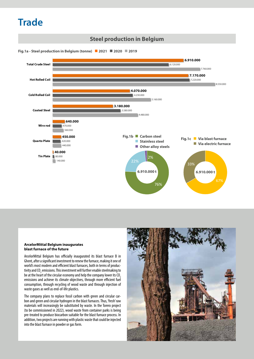## **Trade**



#### **ArcelorMittal Belgium inaugurates blast furnace of the future**

ArcelorMittal Belgium has officially inaugurated its blast furnace B in Ghent, after a significant investment to renew the furnace, making it one of world's most modern and efficient blast furnaces, both in terms of productivity and CO<sub>2</sub> emissions. This investment will further enable steelmaking to be at the heart of the circular economy and help the company lower its CO<sub>2</sub> emissions and achieve its climate objectives, through more efficient fuel consumption, through recycling of wood waste and through injection of waste gases as well as end-of-life plastics.

The company plans to replace fossil carbon with green and circular carbon and green and circular hydrogen in the blast furnaces. Thus, 'fresh' raw materials will increasingly be substituted by waste. In the Torero project (to be commissioned in 2022), wood waste from container parks is being pre-treated to produce biocarbon suitable for the blast furnace process. In addition, two projects are running with plastic waste that could be injected into the blast furnace in powder or gas form.

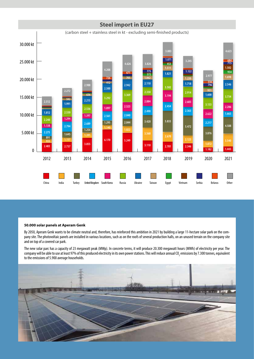

#### **50.000 solar panels at Aperam Genk**

By 2050, Aperam Genk wants to be climate neutral and, therefore, has reinforced this ambition in 2021 by building a large 11-hectare solar park on the company site. The photovoltaic panels are installed in various locations, such as on the roofs of several production halls, on an unused terrain on the company site and on top of a covered car park.

The new solar parc has a capacity of 23 megawatt peak (MWp). In concrete terms, it will produce 20.300 megawatt hours (MWh) of electricity per year. The company will be able to use at least 97% of this produced electricity in its own power stations. This will reduce annual CO<sub>2</sub> emissions by 7.300 tonnes, equivalent to the emissions of 5.900 average households.

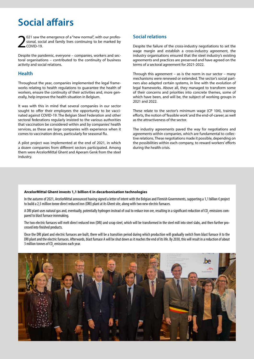## **Social affairs**

2 021 saw the emergence of a "new normal", with our professional, social and family lives continuing to be marked by COVID-19.

Despite the pandemic, everyone – companies, workers and sectoral organisations – contributed to the continuity of business activity and social relations.

### **Health**

Throughout the year, companies implemented the legal frameworks relating to health regulations to guarantee the health of workers, ensure the continuity of their activities and, more generally, help improve the health situation in Belgium.

It was with this in mind that several companies in our sector sought to offer their employees the opportunity to be vaccinated against COVID-19. The Belgian Steel Federation and other sectoral federations regularly insisted to the various authorities that vaccination be considered within and by companies' health services, as these are large companies with experience when it comes to vaccination drives, particularly for seasonal flu.

A pilot project was implemented at the end of 2021, in which a dozen companies from different sectors participated. Among them were ArcelorMittal Ghent and Aperam Genk from the steel industry.

## **Social relations**

Despite the failure of the cross-industry negotiations to set the wage margin and establish a cross-industry agreement, the industry organisations ensured that the steel industry's existing agreements and practices are preserved and have agreed on the terms of a sectoral agreement for 2021-2022.

Through this agreement – as is the norm in our sector – many mechanisms were renewed or extended. The sector's social partners also adapted certain systems, in line with the evolution of legal frameworks. Above all, they managed to transform some of their concerns and priorities into concrete themes, some of which have been, and will be, the subject of working groups in 2021 and 2022.

These relate to the sector's minimum wage (CP 104), training efforts, the notion of 'feasible work' and the end-of-career, as well as the attractiveness of the sector.

The industry agreements paved the way for negotiations and agreements within companies, which are fundamental to collective relations. These negotiations made it possible, depending on the possibilities within each company, to reward workers' efforts during the health crisis.

#### **ArcelorMittal Ghent invests 1,1 billion € in decarbonisation technologies**

In the autumn of 2021, ArcelorMittal announced having signed a letter of intent with the Belgian and Flemish Governments, supporting a 1,1 billion € project to build a 2,5 million tonne direct reduced iron (DRI) plant at its Ghent site, along with two new electric furnaces.

A DRI plant uses natural gas and, eventually, potentially hydrogen instead of coal to reduce iron ore, resulting in a significant reduction of CO<sub>2</sub> emissions compared to blast furnace ironmaking.

The two electric furnaces will melt direct reduced iron (DRI) and scrap steel, which will be transformed in the steel mill into steel slabs, and then further processed into finished products.

Once the DRI plant and electric furnaces are built, there will be a transition period during which production will gradually switch from blast furnace A to the DRI plant and the electric furnaces. Afterwards, blast furnace A will be shut down as it reaches the end of its life. By 2030, this will result in a reduction of about 3 million tonnes of CO $_{\textrm{\tiny{2}}}$  emissions each year.

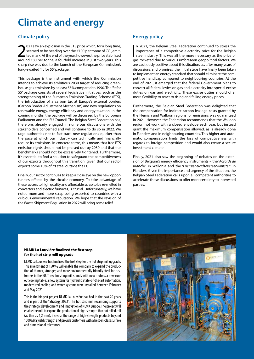## **Climate and energy**

## **Climate policy**

2021 saw an explosion in the ETS price which, for a long time, seemed to be heading over the  $\epsilon$ 100 per tonne of CO<sub>2</sub> emitted mark. At the end of the year, however, the price stabilised around  $\epsilon$ 80 per tonne, a fourfo 021 saw an explosion in the ETS price which, for a long time, seemed to be heading over the €100 per tonne of CO $_2$  emitted mark. At the end of the year, however, the price stabilised sharp rise was due to the launch of the European Commission's long-awaited 'fit for 55' package.

This package is the instrument with which the Commission intends to achieve its ambitious 2030 target of reducing greenhouse gas emissions by at least 55% compared to 1990. The 'fit for 55' package consists of several legislative initiatives, such as the strengthening of the European Emissions Trading Scheme (ETS), the introduction of a carbon tax at Europe's external borders (Carbon Border Adjustment Mechanism) and new regulations on renewable energy, energy efficiency and energy taxation. In the coming months, the package will be discussed by the European Parliament and the EU Council. The Belgian Steel Federation has, therefore, already engaged in numerous discussions with the stakeholders concerned and will continue to do so in 2022. We urge authorities not to fast-track new regulations quicker than the pace at which our industry can technically and financially reduce its emissions. In concrete terms, this means that free ETS emission rights should not be phased out by 2030 and that our benchmarks should not be excessively tightened. Furthermore, it's essential to find a solution to safeguard the competitiveness of our exports throughout this transition, given that our sector exports some 10% of its steel outside the EU.

Finally, our sector continues to keep a close eye on the new opportunities offered by the circular economy. To take advantage of these, access to high quality and affordable scrap to be re-melted in convertors and electric furnaces, is crucial. Unfortunately, we have noted more and more scrap being exported to countries with a dubious environmental reputation. We hope that the revision of the Waste Shipment Regulation in 2022 will bring some relief.

## **Energy policy**

n 2021, the Belgian Steel Federation continued to stress the importance of a competitive electricity price for the Belgian steel industry. This was all the more necessary as the price of gas rocketed due to various unfores n 2021, the Belgian Steel Federation continued to stress the importance of a competitive electricity price for the Belgian steel industry. This was all the more necessary as the price of are cautiously positive about this situation, as, after many years of discussions and promises, the initial steps have finally been taken to implement an energy standard that should eliminate the competitive handicap compared to neighbouring countries. At the end of 2021, it emerged that the federal Government plans to convert all federal levies on gas and electricity into special excise duties on gas and electricity. These excise duties should offer more flexibility to react to rising and falling energy prices.

Furthermore, the Belgian Steel Federation was delighted that the compensation for indirect carbon leakage costs granted by the Flemish and Walloon regions for emissions was guaranteed in 2021. However, the Federation recommends that the Walloon region not work with a closed envelope each year, but instead grant the maximum compensation allowed, as is already done in Flanders and in neighbouring countries. This higher and automatic compensation limits the loss of competitiveness with regards to foreign competition and would also create a secure investment climate.

Finally, 2021 also saw the beginning of debates on the extension of Belgium's energy efficiency instruments – the '*Accords de Branche'* in Wallonia and the '*Energiebeleidsovereenkomsten'* in Flanders. Given the importance and urgency of the situation, the Belgian Steel Federation calls upon all competent authorities to accelerate these discussions to offer more certainty to interested parties.

#### **NLMK La Louvière finalized the first step for the hot strip mill upgrade**

NLMK La Louvière has finalized the first step for the hot strip mill upgrade. This investment of 150M€ will enable the company to expand the production of thinner, stronger, and more environmentally friendly steel for customers in the EU. Three finishing mill stands with new motors, a new runout cooling table, a new system for hydraulic, state-of-the-art automation, modernized cooling and water systems were installed between February and May 2021.

This is the biggest project NLMK La Louvière has had in the past 20 years and is part of the "Strategy 2022". The hot strip mill revamping supports the strategic development and innovation of NLMK Europe. The project will enable the mill to expand the production of high-strength thin hot rolled coil (as thin as 1,2 mm), increase the range of high-strength products beyond 1000 MPa yield strength and provide customers with a best-in-class surface and dimensional tolerances.

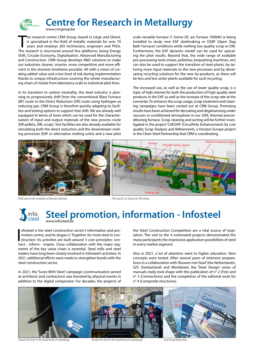

**Centre for Research in Metallurgy** www.crmgroup.be

The research centre CRM Group, based in Liège and Ghent, is specialised in the field of metallic materials for over 70 years and employs 265 technicians, engineers and PhDs.<br>The research is structured around five platforms he research centre CRM Group, based in Liège and Ghent, is specialised in the field of metallic materials for over 70 years and employs 265 technicians, engineers and PhDs. Shift, Circular Economy, Digitalisation, Advanced Manufacturing and Construction. CRM Group develops R&D solutions to make our industries cleaner, smarter, more competitive and more efficient in the shortest timeframe possible. All with a vision of creating added value and a low level of risk during implementation thanks to unique infrastructure covering the whole manufacturing chain of metals from laboratory scale to industrial pilot lines.

In its transition to carbon neutrality, the steel industry is planning to progressively shift from the conventional Blast Furnace (BF) route to the Direct Reduction (DR) route using hydrogen as reducing gas. CRM Group is therefore quickly adapting its facilities and testing options to support that shift. We are already well equipped in terms of tools which can be used for the characterisation of input and output materials of the new process route (DR pellets, DRI, scrap). Test facilities are also already available for simulating both the direct reduction and the downstream melting processes (EAF or alternative melting units) and a new pilot scale versatile furnace (1 tonne DC arc furnace 700kW) is being installed to study new EAF steelmaking or OSBF (Open Slag Bath Furnace) conditions while melting low quality scrap or DRI. Furthermore, the EAF dynamic model can be used for upscaling the pilot results. Beyond that, the wide range of available pre-processing tools (mixer, pelletiser, briquetting machines, etc) can also be used to support the transition of steel plants, by tailoring more input materials to the new processes and by developing recycling solutions for the new by-products, as there will be less and less sinter plants available for such recycling.

The increased use, as well as the use of lower quality scrap, is a topic of high interest for both the production of high-quality steel products in the EAF as well as the increase of the scrap rate at the converter. To enhance the scrap usage, scrap treatment and cleaning campaigns have been carried out at CRM Group. Promising results have been achieved for decoating and degalvanising under vacuum or conditioned atmosphere in our 200L thermal preconditioning furnace. Scrap cleaning and sorting will be further investigated in the project 'CAESAR' (CirculArity Enhancements by Low quality Scrap Analysis and Refinement), a Horizon Europe project in the Clean Steel Partnership that CRM is coordinating.



#### **Steel promotion, information - Infosteel** info<br>steel www.infosteel.be

Infosteel is the steel construction sector's information and pro-<br>motion centre, and its slogan is 'Together, for more steel in con-<br>struction'. Its activities are built around 3 core principles: con-<br>noct - inform - inspi nfosteel is the steel construction sector's information and promotion centre, and its slogan is 'Together, for more steel in connect - inform - inspire. Close collaboration with the major segments of the key value chain is essential. Steel mills and steel traders have long been closely involved in Infosteel's activities. In 2021, additional efforts were made to strengthen bonds with the steel construction sector.

In 2021, the 'Score With Steel'-campaign (communication aimed at architects and contractors) was boosted by physical events in addition to the digital component. For decades, the projects of

the Steel Construction Competition are a vital source of inspiration. The visit to the 4 nominated projects demonstrated the many participants the impressive application possibilities of steel in every market segment.

Also in 2021, a lot of attention went to higher education. New concepts were tested. After several years of intensive preparations in a collaboration with '*Bouwen met Staal*' (the Netherlands), SZS (Switzerland) and Worldsteel, the 'Steel Design' series of manuals really took shape with the publication of n° 2 (Fire) and n° 3 (Connections) and the completion of the editorial work for n° 4 (Composite structures).



'Journée Prix Acier' in the Grand Duchy of Luxembourg 'Journée Prix Acier' in the Grand Duchy of Luxembourg 'Steel Design' book series